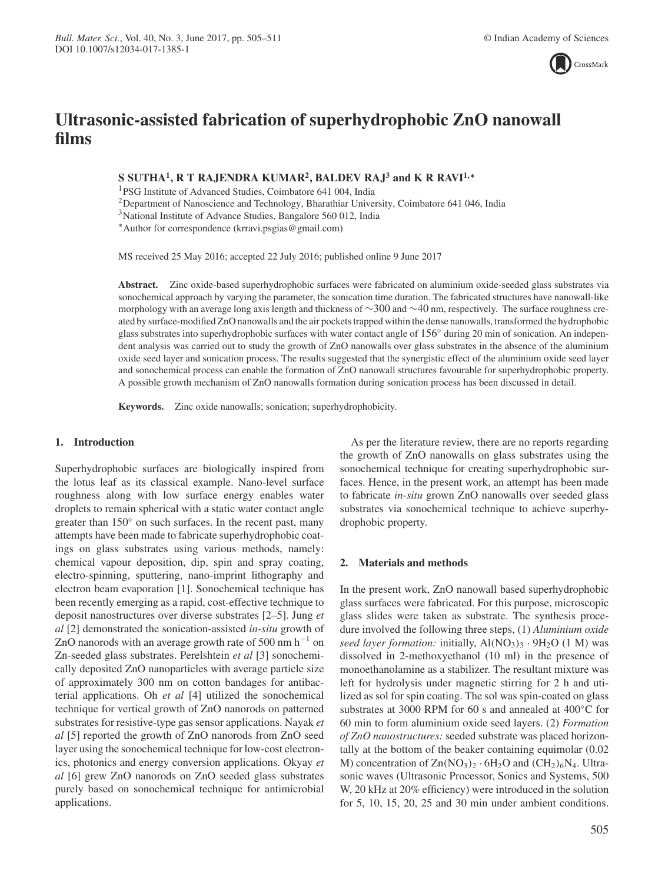

# **Ultrasonic-assisted fabrication of superhydrophobic ZnO nanowall films**

# **S SUTHA<sup>1</sup> , R T RAJENDRA KUMAR<sup>2</sup> , BALDEV RAJ<sup>3</sup> and K R RAVI1**,<sup>∗</sup>

<sup>1</sup>PSG Institute of Advanced Studies, Coimbatore 641 004, India

<sup>2</sup>Department of Nanoscience and Technology, Bharathiar University, Coimbatore 641 046, India

<sup>3</sup>National Institute of Advance Studies, Bangalore 560 012, India

<sup>∗</sup>Author for correspondence (krravi.psgias@gmail.com)

MS received 25 May 2016; accepted 22 July 2016; published online 9 June 2017

**Abstract.** Zinc oxide-based superhydrophobic surfaces were fabricated on aluminium oxide-seeded glass substrates via sonochemical approach by varying the parameter, the sonication time duration. The fabricated structures have nanowall-like morphology with an average long axis length and thickness of ∼300 and ∼40 nm, respectively. The surface roughness created by surface-modified ZnO nanowalls and the air pockets trapped within the dense nanowalls, transformed the hydrophobic glass substrates into superhydrophobic surfaces with water contact angle of 156° during 20 min of sonication. An independent analysis was carried out to study the growth of ZnO nanowalls over glass substrates in the absence of the aluminium oxide seed layer and sonication process. The results suggested that the synergistic effect of the aluminium oxide seed layer and sonochemical process can enable the formation of ZnO nanowall structures favourable for superhydrophobic property. A possible growth mechanism of ZnO nanowalls formation during sonication process has been discussed in detail.

**Keywords.** Zinc oxide nanowalls; sonication; superhydrophobicity.

### **1. Introduction**

Superhydrophobic surfaces are biologically inspired from the lotus leaf as its classical example. Nano-level surface roughness along with low surface energy enables water droplets to remain spherical with a static water contact angle greater than 150° on such surfaces. In the recent past, many attempts have been made to fabricate superhydrophobic coatings on glass substrates using various methods, namely: chemical vapour deposition, dip, spin and spray coating, electro-spinning, sputtering, nano-imprint lithography and electron beam evaporation [1]. Sonochemical technique has been recently emerging as a rapid, cost-effective technique to deposit nanostructures over diverse substrates [2–5]. Jung *et al* [2] demonstrated the sonication-assisted *in-situ* growth of ZnO nanorods with an average growth rate of 500 nm  $h^{-1}$  on Zn-seeded glass substrates. Perelshtein *et al* [3] sonochemically deposited ZnO nanoparticles with average particle size of approximately 300 nm on cotton bandages for antibacterial applications. Oh *et al* [4] utilized the sonochemical technique for vertical growth of ZnO nanorods on patterned substrates for resistive-type gas sensor applications. Nayak *et al* [5] reported the growth of ZnO nanorods from ZnO seed layer using the sonochemical technique for low-cost electronics, photonics and energy conversion applications. Okyay *et al* [6] grew ZnO nanorods on ZnO seeded glass substrates purely based on sonochemical technique for antimicrobial applications.

As per the literature review, there are no reports regarding the growth of ZnO nanowalls on glass substrates using the sonochemical technique for creating superhydrophobic surfaces. Hence, in the present work, an attempt has been made to fabricate *in-situ* grown ZnO nanowalls over seeded glass substrates via sonochemical technique to achieve superhydrophobic property.

#### **2. Materials and methods**

In the present work, ZnO nanowall based superhydrophobic glass surfaces were fabricated. For this purpose, microscopic glass slides were taken as substrate. The synthesis procedure involved the following three steps, (1) *Aluminium oxide seed layer formation:* initially,  $AI(NO<sub>3</sub>)<sub>3</sub> · 9H<sub>2</sub>O (1 M)$  was dissolved in 2-methoxyethanol (10 ml) in the presence of monoethanolamine as a stabilizer. The resultant mixture was left for hydrolysis under magnetic stirring for 2 h and utilized as sol for spin coating. The sol was spin-coated on glass substrates at 3000 RPM for 60 s and annealed at 400◦C for 60 min to form aluminium oxide seed layers. (2) *Formation of ZnO nanostructures:* seeded substrate was placed horizontally at the bottom of the beaker containing equimolar (0.02 M) concentration of  $Zn(NO<sub>3</sub>)<sub>2</sub> · 6H<sub>2</sub>O$  and  $(CH<sub>2</sub>)<sub>6</sub>N<sub>4</sub>$ . Ultrasonic waves (Ultrasonic Processor, Sonics and Systems, 500 W, 20 kHz at 20% efficiency) were introduced in the solution for 5, 10, 15, 20, 25 and 30 min under ambient conditions.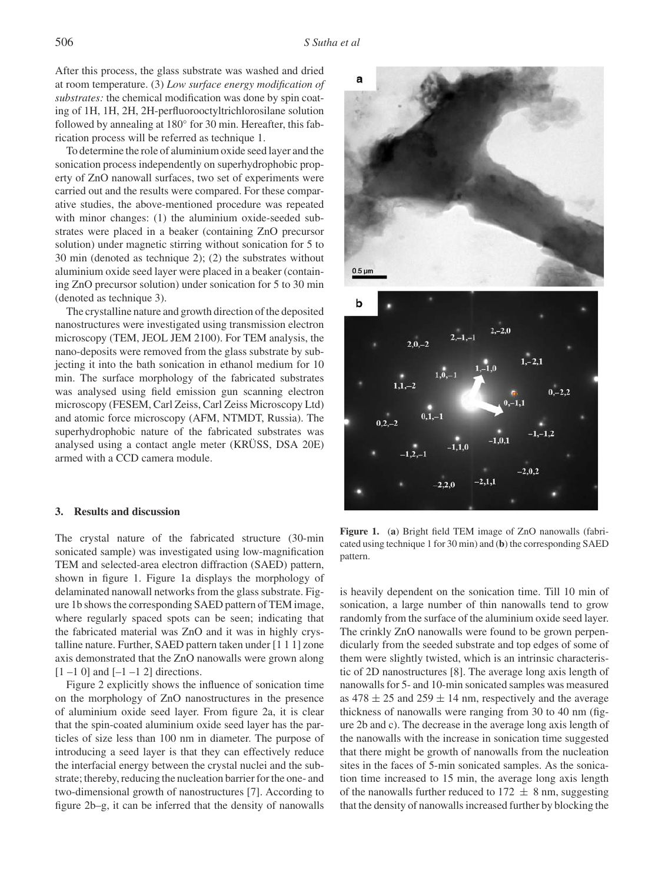After this process, the glass substrate was washed and dried at room temperature. (3) *Low surface energy modification of substrates:* the chemical modification was done by spin coating of 1H, 1H, 2H, 2H-perfluorooctyltrichlorosilane solution followed by annealing at 180° for 30 min. Hereafter, this fabrication process will be referred as technique 1.

To determine the role of aluminium oxide seed layer and the sonication process independently on superhydrophobic property of ZnO nanowall surfaces, two set of experiments were carried out and the results were compared. For these comparative studies, the above-mentioned procedure was repeated with minor changes: (1) the aluminium oxide-seeded substrates were placed in a beaker (containing ZnO precursor solution) under magnetic stirring without sonication for 5 to 30 min (denoted as technique 2); (2) the substrates without aluminium oxide seed layer were placed in a beaker (containing ZnO precursor solution) under sonication for 5 to 30 min (denoted as technique 3).

The crystalline nature and growth direction of the deposited nanostructures were investigated using transmission electron microscopy (TEM, JEOL JEM 2100). For TEM analysis, the nano-deposits were removed from the glass substrate by subjecting it into the bath sonication in ethanol medium for 10 min. The surface morphology of the fabricated substrates was analysed using field emission gun scanning electron microscopy (FESEM, Carl Zeiss, Carl Zeiss Microscopy Ltd) and atomic force microscopy (AFM, NTMDT, Russia). The superhydrophobic nature of the fabricated substrates was analysed using a contact angle meter (KRÜSS, DSA 20E) armed with a CCD camera module.

#### **3. Results and discussion**

The crystal nature of the fabricated structure (30-min sonicated sample) was investigated using low-magnification TEM and selected-area electron diffraction (SAED) pattern, shown in figure 1. Figure 1a displays the morphology of delaminated nanowall networks from the glass substrate. Figure 1b shows the corresponding SAED pattern of TEM image, where regularly spaced spots can be seen; indicating that the fabricated material was ZnO and it was in highly crystalline nature. Further, SAED pattern taken under [1 1 1] zone axis demonstrated that the ZnO nanowalls were grown along  $[1 -1 0]$  and  $[-1 -1 2]$  directions.

Figure 2 explicitly shows the influence of sonication time on the morphology of ZnO nanostructures in the presence of aluminium oxide seed layer. From figure 2a, it is clear that the spin-coated aluminium oxide seed layer has the particles of size less than 100 nm in diameter. The purpose of introducing a seed layer is that they can effectively reduce the interfacial energy between the crystal nuclei and the substrate; thereby, reducing the nucleation barrier for the one- and two-dimensional growth of nanostructures [7]. According to figure 2b–g, it can be inferred that the density of nanowalls



**Figure 1.** (**a**) Bright field TEM image of ZnO nanowalls (fabricated using technique 1 for 30 min) and (**b**) the corresponding SAED pattern.

is heavily dependent on the sonication time. Till 10 min of sonication, a large number of thin nanowalls tend to grow randomly from the surface of the aluminium oxide seed layer. The crinkly ZnO nanowalls were found to be grown perpendicularly from the seeded substrate and top edges of some of them were slightly twisted, which is an intrinsic characteristic of 2D nanostructures [8]. The average long axis length of nanowalls for 5- and 10-min sonicated samples was measured as  $478 \pm 25$  and  $259 \pm 14$  nm, respectively and the average thickness of nanowalls were ranging from 30 to 40 nm (figure 2b and c). The decrease in the average long axis length of the nanowalls with the increase in sonication time suggested that there might be growth of nanowalls from the nucleation sites in the faces of 5-min sonicated samples. As the sonication time increased to 15 min, the average long axis length of the nanowalls further reduced to  $172 \pm 8$  nm, suggesting that the density of nanowalls increased further by blocking the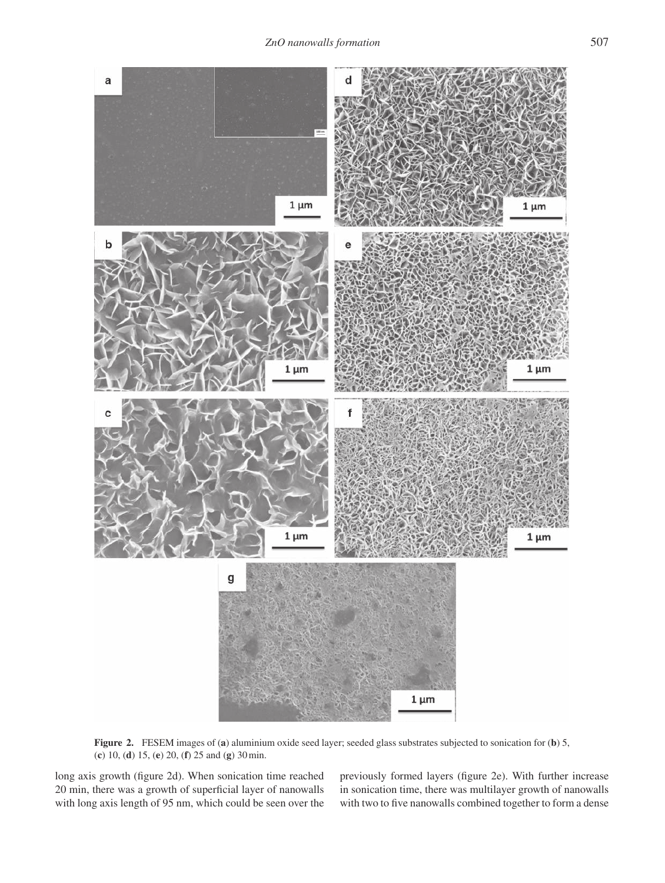

**Figure 2.** FESEM images of (**a**) aluminium oxide seed layer; seeded glass substrates subjected to sonication for (**b**) 5, (**c**) 10, (**d**) 15, (**e**) 20, (**f**) 25 and (**g**) 30min.

long axis growth (figure 2d). When sonication time reached 20 min, there was a growth of superficial layer of nanowalls with long axis length of 95 nm, which could be seen over the

previously formed layers (figure 2e). With further increase in sonication time, there was multilayer growth of nanowalls with two to five nanowalls combined together to form a dense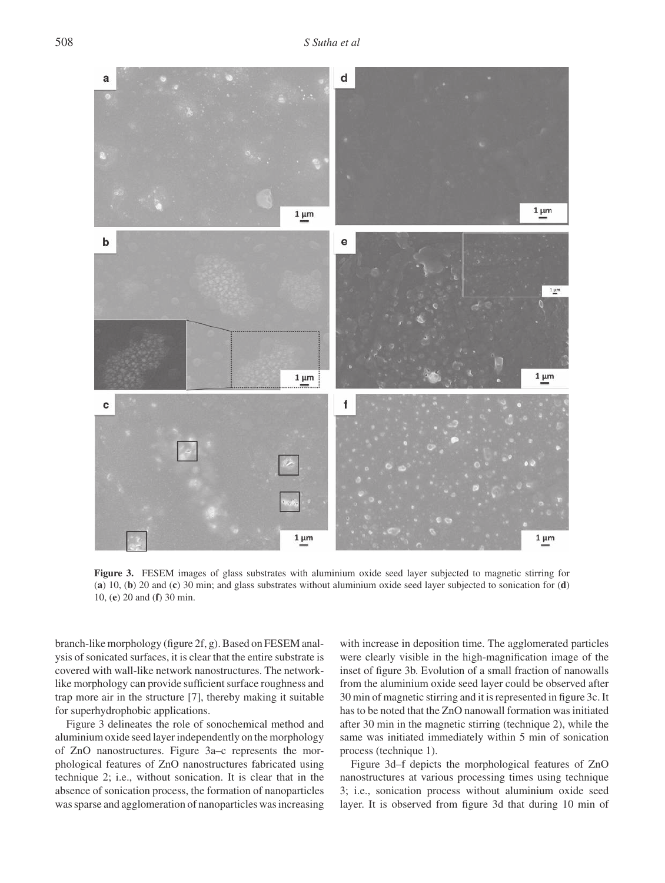

**Figure 3.** FESEM images of glass substrates with aluminium oxide seed layer subjected to magnetic stirring for (**a**) 10, (**b**) 20 and (**c**) 30 min; and glass substrates without aluminium oxide seed layer subjected to sonication for (**d**) 10, (**e**) 20 and (**f**) 30 min.

branch-like morphology (figure 2f, g). Based on FESEM analysis of sonicated surfaces, it is clear that the entire substrate is covered with wall-like network nanostructures. The networklike morphology can provide sufficient surface roughness and trap more air in the structure [7], thereby making it suitable for superhydrophobic applications.

Figure 3 delineates the role of sonochemical method and aluminium oxide seed layer independently on the morphology of ZnO nanostructures. Figure 3a–c represents the morphological features of ZnO nanostructures fabricated using technique 2; i.e., without sonication. It is clear that in the absence of sonication process, the formation of nanoparticles was sparse and agglomeration of nanoparticles was increasing with increase in deposition time. The agglomerated particles were clearly visible in the high-magnification image of the inset of figure 3b. Evolution of a small fraction of nanowalls from the aluminium oxide seed layer could be observed after 30 min of magnetic stirring and it is represented in figure 3c. It has to be noted that the ZnO nanowall formation was initiated after 30 min in the magnetic stirring (technique 2), while the same was initiated immediately within 5 min of sonication process (technique 1).

Figure 3d–f depicts the morphological features of ZnO nanostructures at various processing times using technique 3; i.e., sonication process without aluminium oxide seed layer. It is observed from figure 3d that during 10 min of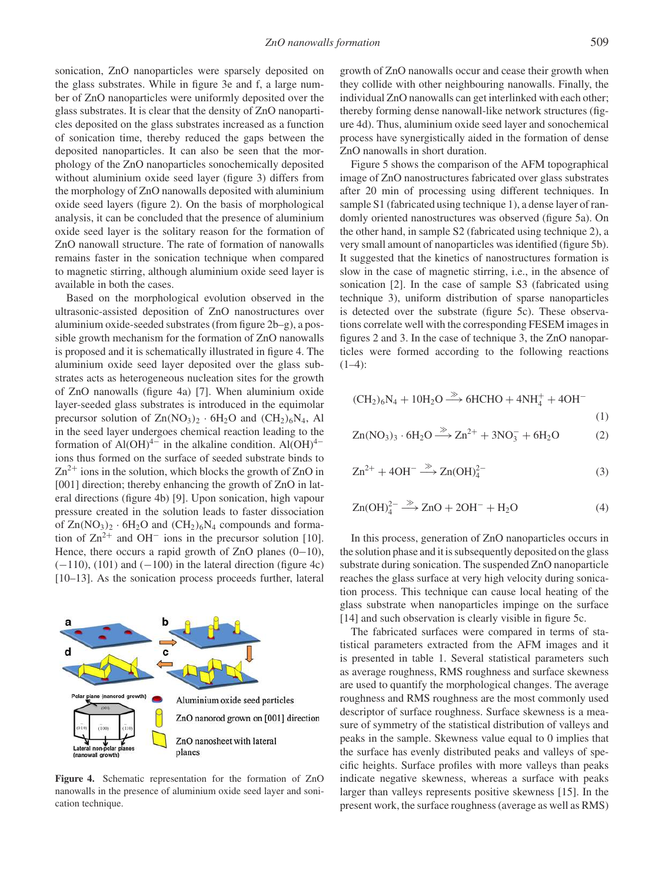sonication, ZnO nanoparticles were sparsely deposited on the glass substrates. While in figure 3e and f, a large number of ZnO nanoparticles were uniformly deposited over the glass substrates. It is clear that the density of ZnO nanoparticles deposited on the glass substrates increased as a function of sonication time, thereby reduced the gaps between the deposited nanoparticles. It can also be seen that the morphology of the ZnO nanoparticles sonochemically deposited without aluminium oxide seed layer (figure 3) differs from the morphology of ZnO nanowalls deposited with aluminium oxide seed layers (figure 2). On the basis of morphological analysis, it can be concluded that the presence of aluminium oxide seed layer is the solitary reason for the formation of ZnO nanowall structure. The rate of formation of nanowalls remains faster in the sonication technique when compared to magnetic stirring, although aluminium oxide seed layer is available in both the cases.

Based on the morphological evolution observed in the ultrasonic-assisted deposition of ZnO nanostructures over aluminium oxide-seeded substrates (from figure 2b–g), a possible growth mechanism for the formation of ZnO nanowalls is proposed and it is schematically illustrated in figure 4. The aluminium oxide seed layer deposited over the glass substrates acts as heterogeneous nucleation sites for the growth of ZnO nanowalls (figure 4a) [7]. When aluminium oxide layer-seeded glass substrates is introduced in the equimolar precursor solution of  $Zn(NO<sub>3</sub>)<sub>2</sub> · 6H<sub>2</sub>O$  and  $(CH<sub>2</sub>)<sub>6</sub>N<sub>4</sub>$ , Al in the seed layer undergoes chemical reaction leading to the formation of Al(OH)<sup>4−</sup> in the alkaline condition. Al(OH)<sup>4−</sup> ions thus formed on the surface of seeded substrate binds to  $Zn^{2+}$  ions in the solution, which blocks the growth of ZnO in [001] direction; thereby enhancing the growth of ZnO in lateral directions (figure 4b) [9]. Upon sonication, high vapour pressure created in the solution leads to faster dissociation of  $Zn(NO<sub>3</sub>)<sub>2</sub> · 6H<sub>2</sub>O$  and  $(CH<sub>2</sub>)<sub>6</sub>N<sub>4</sub>$  compounds and formation of  $\text{Zn}^{2+}$  and OH<sup>-</sup> ions in the precursor solution [10]. Hence, there occurs a rapid growth of ZnO planes (0−10),  $(-110)$ , (101) and  $(-100)$  in the lateral direction (figure 4c) [10–13]. As the sonication process proceeds further, lateral



**Figure 4.** Schematic representation for the formation of ZnO nanowalls in the presence of aluminium oxide seed layer and sonication technique.

growth of ZnO nanowalls occur and cease their growth when they collide with other neighbouring nanowalls. Finally, the individual ZnO nanowalls can get interlinked with each other; thereby forming dense nanowall-like network structures (figure 4d). Thus, aluminium oxide seed layer and sonochemical process have synergistically aided in the formation of dense ZnO nanowalls in short duration.

Figure 5 shows the comparison of the AFM topographical image of ZnO nanostructures fabricated over glass substrates after 20 min of processing using different techniques. In sample S1 (fabricated using technique 1), a dense layer of randomly oriented nanostructures was observed (figure 5a). On the other hand, in sample S2 (fabricated using technique 2), a very small amount of nanoparticles was identified (figure 5b). It suggested that the kinetics of nanostructures formation is slow in the case of magnetic stirring, i.e., in the absence of sonication [2]. In the case of sample S3 (fabricated using technique 3), uniform distribution of sparse nanoparticles is detected over the substrate (figure 5c). These observations correlate well with the corresponding FESEM images in figures 2 and 3. In the case of technique 3, the ZnO nanoparticles were formed according to the following reactions  $(1-4)$ :

$$
(CH2)6N4 + 10H2O \xrightarrow{\gg} 6HCHO + 4NH4+ + 4OH-
$$
\n(1)

$$
Zn(NO3)3 · 6H2O \xrightarrow{\gg} Zn2+ + 3NO3- + 6H2O
$$
 (2)

$$
Zn^{2+} + 4OH^- \xrightarrow{\gg} Zn(OH)_4^{2-} \tag{3}
$$

$$
Zn(OH)_4^{2-} \xrightarrow{\gg} ZnO + 2OH^- + H_2O \tag{4}
$$

In this process, generation of ZnO nanoparticles occurs in the solution phase and it is subsequently deposited on the glass substrate during sonication. The suspended ZnO nanoparticle reaches the glass surface at very high velocity during sonication process. This technique can cause local heating of the glass substrate when nanoparticles impinge on the surface [14] and such observation is clearly visible in figure 5c.

The fabricated surfaces were compared in terms of statistical parameters extracted from the AFM images and it is presented in table 1. Several statistical parameters such as average roughness, RMS roughness and surface skewness are used to quantify the morphological changes. The average roughness and RMS roughness are the most commonly used descriptor of surface roughness. Surface skewness is a measure of symmetry of the statistical distribution of valleys and peaks in the sample. Skewness value equal to 0 implies that the surface has evenly distributed peaks and valleys of specific heights. Surface profiles with more valleys than peaks indicate negative skewness, whereas a surface with peaks larger than valleys represents positive skewness [15]. In the present work, the surface roughness (average as well as RMS)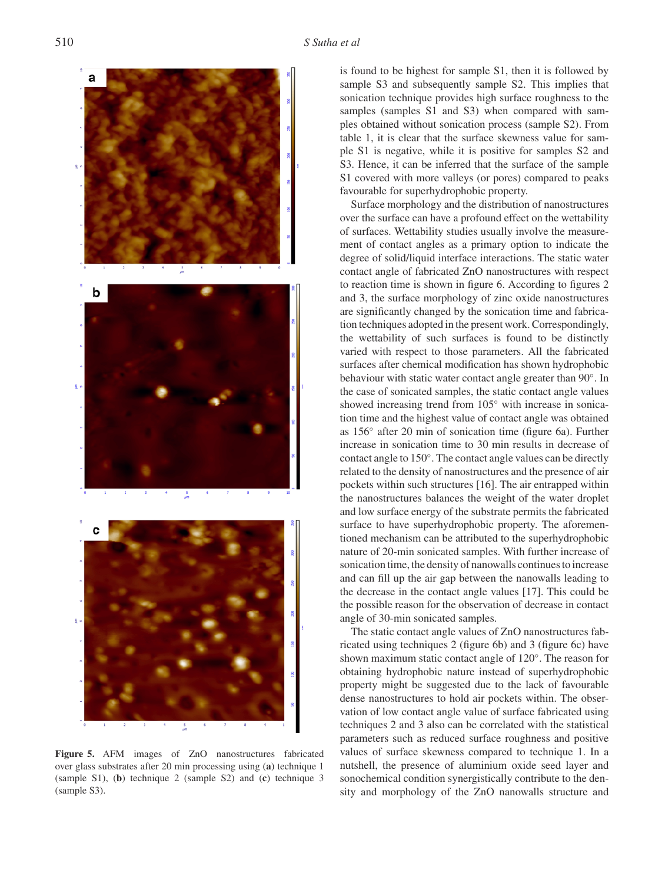

**Figure 5.** AFM images of ZnO nanostructures fabricated over glass substrates after 20 min processing using (**a**) technique 1 (sample S1), (**b**) technique 2 (sample S2) and (**c**) technique 3 (sample S3).

is found to be highest for sample S1, then it is followed by sample S3 and subsequently sample S2. This implies that sonication technique provides high surface roughness to the samples (samples S1 and S3) when compared with samples obtained without sonication process (sample S2). From table 1, it is clear that the surface skewness value for sample S1 is negative, while it is positive for samples S2 and S3. Hence, it can be inferred that the surface of the sample S1 covered with more valleys (or pores) compared to peaks favourable for superhydrophobic property.

Surface morphology and the distribution of nanostructures over the surface can have a profound effect on the wettability of surfaces. Wettability studies usually involve the measurement of contact angles as a primary option to indicate the degree of solid/liquid interface interactions. The static water contact angle of fabricated ZnO nanostructures with respect to reaction time is shown in figure 6. According to figures 2 and 3, the surface morphology of zinc oxide nanostructures are significantly changed by the sonication time and fabrication techniques adopted in the present work. Correspondingly, the wettability of such surfaces is found to be distinctly varied with respect to those parameters. All the fabricated surfaces after chemical modification has shown hydrophobic behaviour with static water contact angle greater than 90°. In the case of sonicated samples, the static contact angle values showed increasing trend from 105◦ with increase in sonication time and the highest value of contact angle was obtained as 156◦ after 20 min of sonication time (figure 6a). Further increase in sonication time to 30 min results in decrease of contact angle to 150◦ . The contact angle values can be directly related to the density of nanostructures and the presence of air pockets within such structures [16]. The air entrapped within the nanostructures balances the weight of the water droplet and low surface energy of the substrate permits the fabricated surface to have superhydrophobic property. The aforementioned mechanism can be attributed to the superhydrophobic nature of 20-min sonicated samples. With further increase of sonication time, the density of nanowalls continues to increase and can fill up the air gap between the nanowalls leading to the decrease in the contact angle values [17]. This could be the possible reason for the observation of decrease in contact angle of 30-min sonicated samples.

The static contact angle values of ZnO nanostructures fabricated using techniques 2 (figure 6b) and 3 (figure 6c) have shown maximum static contact angle of 120◦ . The reason for obtaining hydrophobic nature instead of superhydrophobic property might be suggested due to the lack of favourable dense nanostructures to hold air pockets within. The observation of low contact angle value of surface fabricated using techniques 2 and 3 also can be correlated with the statistical parameters such as reduced surface roughness and positive values of surface skewness compared to technique 1. In a nutshell, the presence of aluminium oxide seed layer and sonochemical condition synergistically contribute to the density and morphology of the ZnO nanowalls structure and